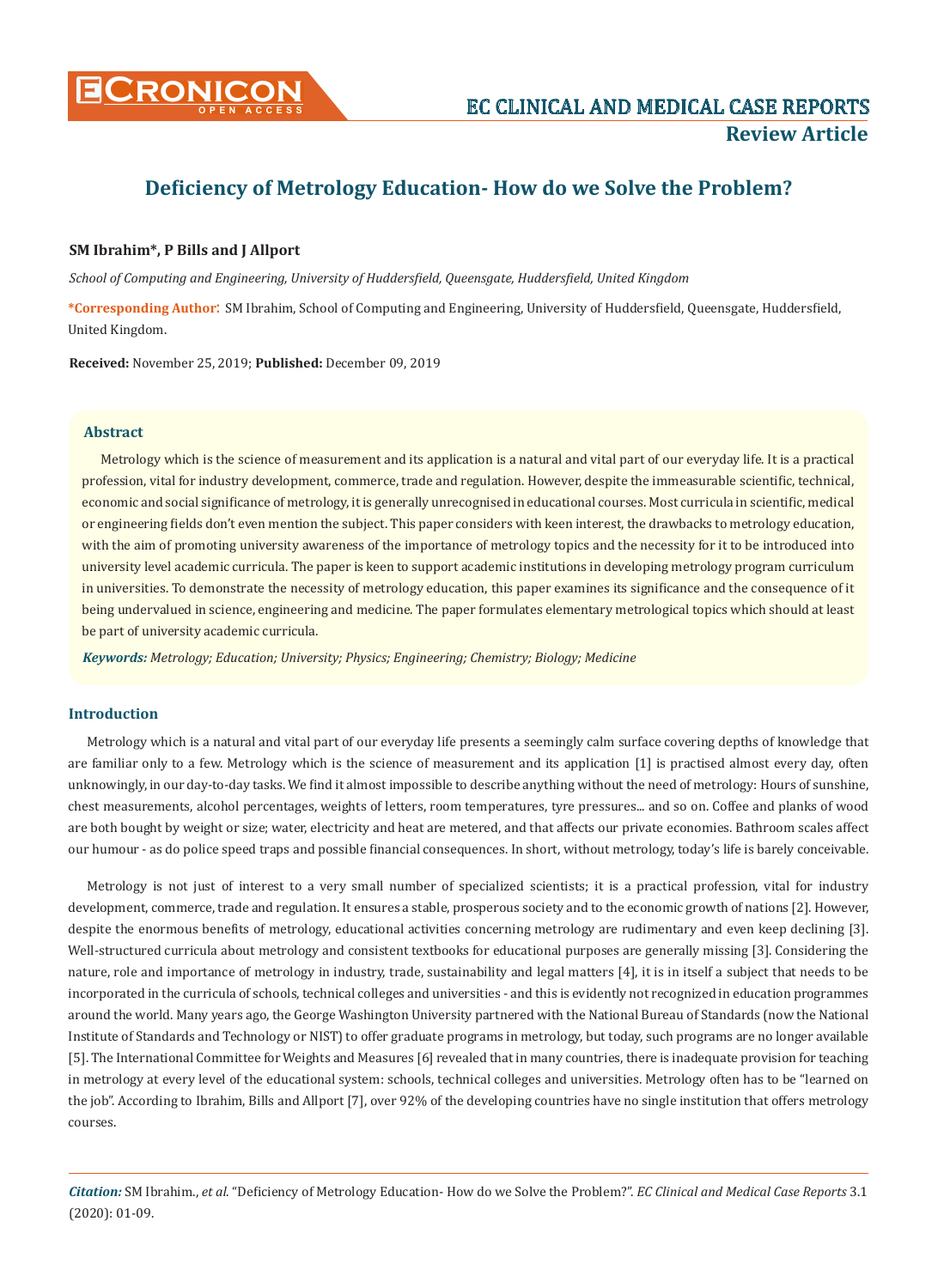

# **Deficiency of Metrology Education- How do we Solve the Problem?**

# **SM Ibrahim\*, P Bills and J Allport**

*School of Computing and Engineering, University of Huddersfield, Queensgate, Huddersfield, United Kingdom*

**\*Corresponding Author**: SM Ibrahim, School of Computing and Engineering, University of Huddersfield, Queensgate, Huddersfield, United Kingdom.

**Received:** November 25, 2019; **Published:** December 09, 2019

# **Abstract**

Metrology which is the science of measurement and its application is a natural and vital part of our everyday life. It is a practical profession, vital for industry development, commerce, trade and regulation. However, despite the immeasurable scientific, technical, economic and social significance of metrology, it is generally unrecognised in educational courses. Most curricula in scientific, medical or engineering fields don't even mention the subject. This paper considers with keen interest, the drawbacks to metrology education, with the aim of promoting university awareness of the importance of metrology topics and the necessity for it to be introduced into university level academic curricula. The paper is keen to support academic institutions in developing metrology program curriculum in universities. To demonstrate the necessity of metrology education, this paper examines its significance and the consequence of it being undervalued in science, engineering and medicine. The paper formulates elementary metrological topics which should at least be part of university academic curricula.

*Keywords: Metrology; Education; University; Physics; Engineering; Chemistry; Biology; Medicine*

## **Introduction**

Metrology which is a natural and vital part of our everyday life presents a seemingly calm surface covering depths of knowledge that are familiar only to a few. Metrology which is the science of measurement and its application [1] is practised almost every day, often unknowingly, in our day-to-day tasks. We find it almost impossible to describe anything without the need of metrology: Hours of sunshine, chest measurements, alcohol percentages, weights of letters, room temperatures, tyre pressures... and so on. Coffee and planks of wood are both bought by weight or size; water, electricity and heat are metered, and that affects our private economies. Bathroom scales affect our humour - as do police speed traps and possible financial consequences. In short, without metrology, today's life is barely conceivable.

Metrology is not just of interest to a very small number of specialized scientists; it is a practical profession, vital for industry development, commerce, trade and regulation. It ensures a stable, prosperous society and to the economic growth of nations [2]. However, despite the enormous benefits of metrology, educational activities concerning metrology are rudimentary and even keep declining [3]. Well-structured curricula about metrology and consistent textbooks for educational purposes are generally missing [3]. Considering the nature, role and importance of metrology in industry, trade, sustainability and legal matters [4], it is in itself a subject that needs to be incorporated in the curricula of schools, technical colleges and universities - and this is evidently not recognized in education programmes around the world. Many years ago, the George Washington University partnered with the National Bureau of Standards (now the National Institute of Standards and Technology or NIST) to offer graduate programs in metrology, but today, such programs are no longer available [5]. The International Committee for Weights and Measures [6] revealed that in many countries, there is inadequate provision for teaching in metrology at every level of the educational system: schools, technical colleges and universities. Metrology often has to be "learned on the job". According to Ibrahim, Bills and Allport [7], over 92% of the developing countries have no single institution that offers metrology courses.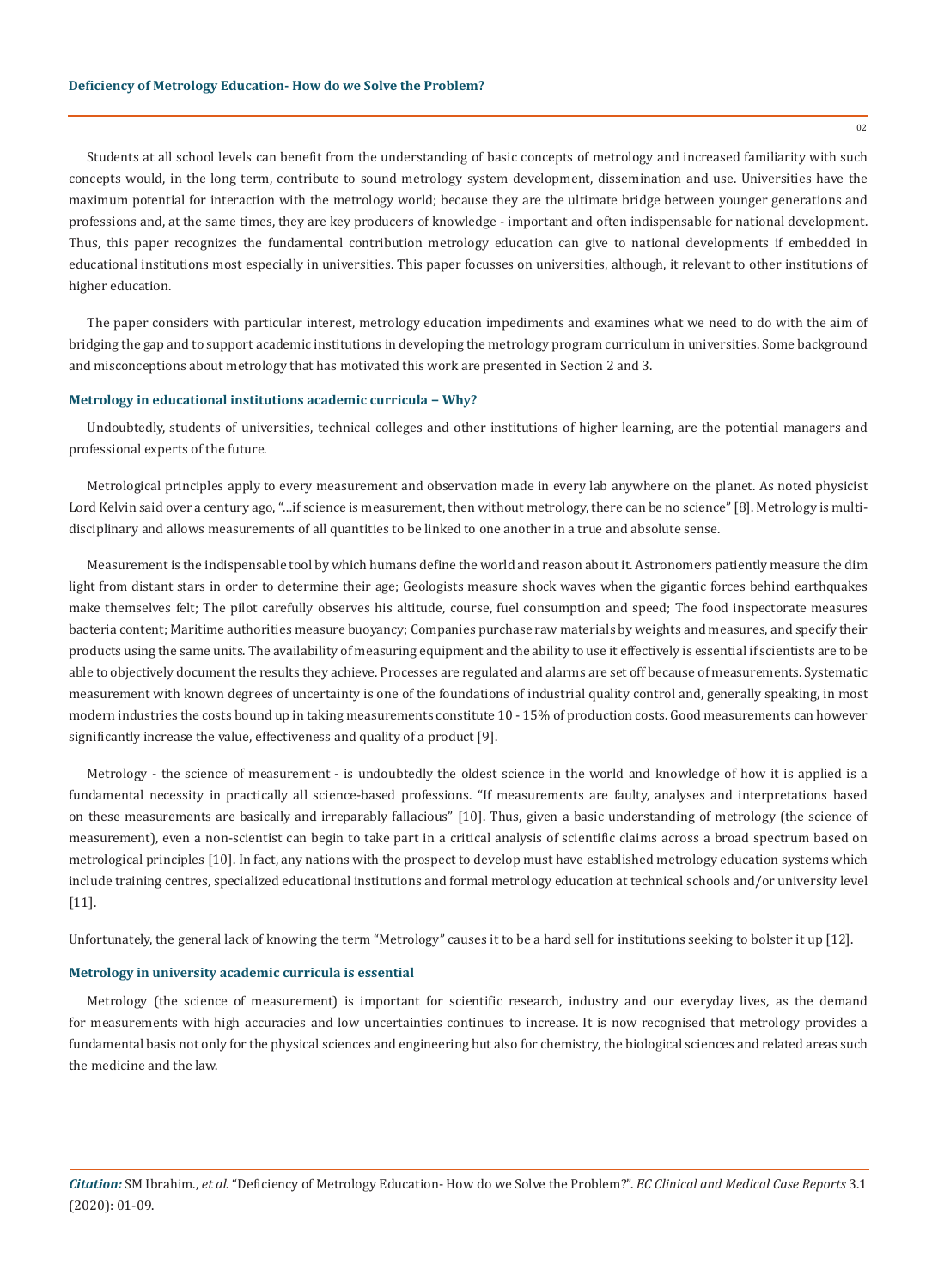Students at all school levels can benefit from the understanding of basic concepts of metrology and increased familiarity with such concepts would, in the long term, contribute to sound metrology system development, dissemination and use. Universities have the maximum potential for interaction with the metrology world; because they are the ultimate bridge between younger generations and professions and, at the same times, they are key producers of knowledge - important and often indispensable for national development. Thus, this paper recognizes the fundamental contribution metrology education can give to national developments if embedded in educational institutions most especially in universities. This paper focusses on universities, although, it relevant to other institutions of higher education.

The paper considers with particular interest, metrology education impediments and examines what we need to do with the aim of bridging the gap and to support academic institutions in developing the metrology program curriculum in universities. Some background and misconceptions about metrology that has motivated this work are presented in Section 2 and 3.

### **Metrology in educational institutions academic curricula − Why?**

Undoubtedly, students of universities, technical colleges and other institutions of higher learning, are the potential managers and professional experts of the future.

Metrological principles apply to every measurement and observation made in every lab anywhere on the planet. As noted physicist Lord Kelvin said over a century ago, "…if science is measurement, then without metrology, there can be no science" [8]. Metrology is multidisciplinary and allows measurements of all quantities to be linked to one another in a true and absolute sense.

Measurement is the indispensable tool by which humans define the world and reason about it. Astronomers patiently measure the dim light from distant stars in order to determine their age; Geologists measure shock waves when the gigantic forces behind earthquakes make themselves felt; The pilot carefully observes his altitude, course, fuel consumption and speed; The food inspectorate measures bacteria content; Maritime authorities measure buoyancy; Companies purchase raw materials by weights and measures, and specify their products using the same units. The availability of measuring equipment and the ability to use it effectively is essential if scientists are to be able to objectively document the results they achieve. Processes are regulated and alarms are set off because of measurements. Systematic measurement with known degrees of uncertainty is one of the foundations of industrial quality control and, generally speaking, in most modern industries the costs bound up in taking measurements constitute 10 - 15% of production costs. Good measurements can however significantly increase the value, effectiveness and quality of a product [9].

Metrology - the science of measurement - is undoubtedly the oldest science in the world and knowledge of how it is applied is a fundamental necessity in practically all science-based professions. "If measurements are faulty, analyses and interpretations based on these measurements are basically and irreparably fallacious" [10]. Thus, given a basic understanding of metrology (the science of measurement), even a non-scientist can begin to take part in a critical analysis of scientific claims across a broad spectrum based on metrological principles [10]. In fact, any nations with the prospect to develop must have established metrology education systems which include training centres, specialized educational institutions and formal metrology education at technical schools and/or university level [11].

Unfortunately, the general lack of knowing the term "Metrology" causes it to be a hard sell for institutions seeking to bolster it up [12].

## **Metrology in university academic curricula is essential**

Metrology (the science of measurement) is important for scientific research, industry and our everyday lives, as the demand for measurements with high accuracies and low uncertainties continues to increase. It is now recognised that metrology provides a fundamental basis not only for the physical sciences and engineering but also for chemistry, the biological sciences and related areas such the medicine and the law.

*Citation:* SM Ibrahim., *et al*. "Deficiency of Metrology Education- How do we Solve the Problem?". *EC Clinical and Medical Case Reports* 3.1 (2020): 01-09.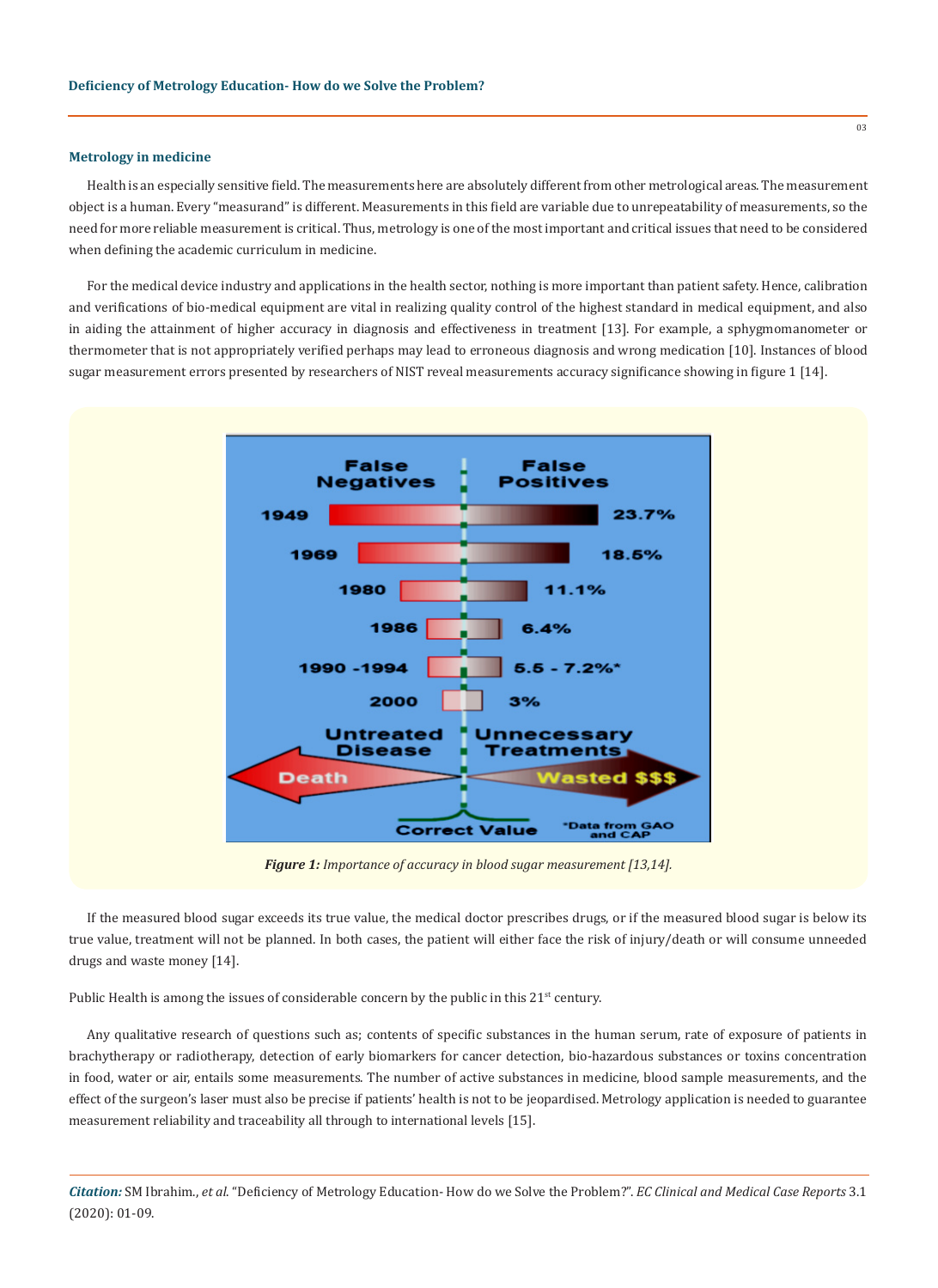#### **Metrology in medicine**

Health is an especially sensitive field. The measurements here are absolutely different from other metrological areas. The measurement object is a human. Every "measurand" is different. Measurements in this field are variable due to unrepeatability of measurements, so the need for more reliable measurement is critical. Thus, metrology is one of the most important and critical issues that need to be considered when defining the academic curriculum in medicine.

For the medical device industry and applications in the health sector, nothing is more important than patient safety. Hence, calibration and verifications of bio-medical equipment are vital in realizing quality control of the highest standard in medical equipment, and also in aiding the attainment of higher accuracy in diagnosis and effectiveness in treatment [13]. For example, a sphygmomanometer or thermometer that is not appropriately verified perhaps may lead to erroneous diagnosis and wrong medication [10]. Instances of blood sugar measurement errors presented by researchers of NIST reveal measurements accuracy significance showing in figure 1 [14].



*Figure 1: Importance of accuracy in blood sugar measurement [13,14].*

If the measured blood sugar exceeds its true value, the medical doctor prescribes drugs, or if the measured blood sugar is below its true value, treatment will not be planned. In both cases, the patient will either face the risk of injury/death or will consume unneeded drugs and waste money [14].

Public Health is among the issues of considerable concern by the public in this 21<sup>st</sup> century.

Any qualitative research of questions such as; contents of specific substances in the human serum, rate of exposure of patients in brachytherapy or radiotherapy, detection of early biomarkers for cancer detection, bio-hazardous substances or toxins concentration in food, water or air, entails some measurements. The number of active substances in medicine, blood sample measurements, and the effect of the surgeon's laser must also be precise if patients' health is not to be jeopardised. Metrology application is needed to guarantee measurement reliability and traceability all through to international levels [15].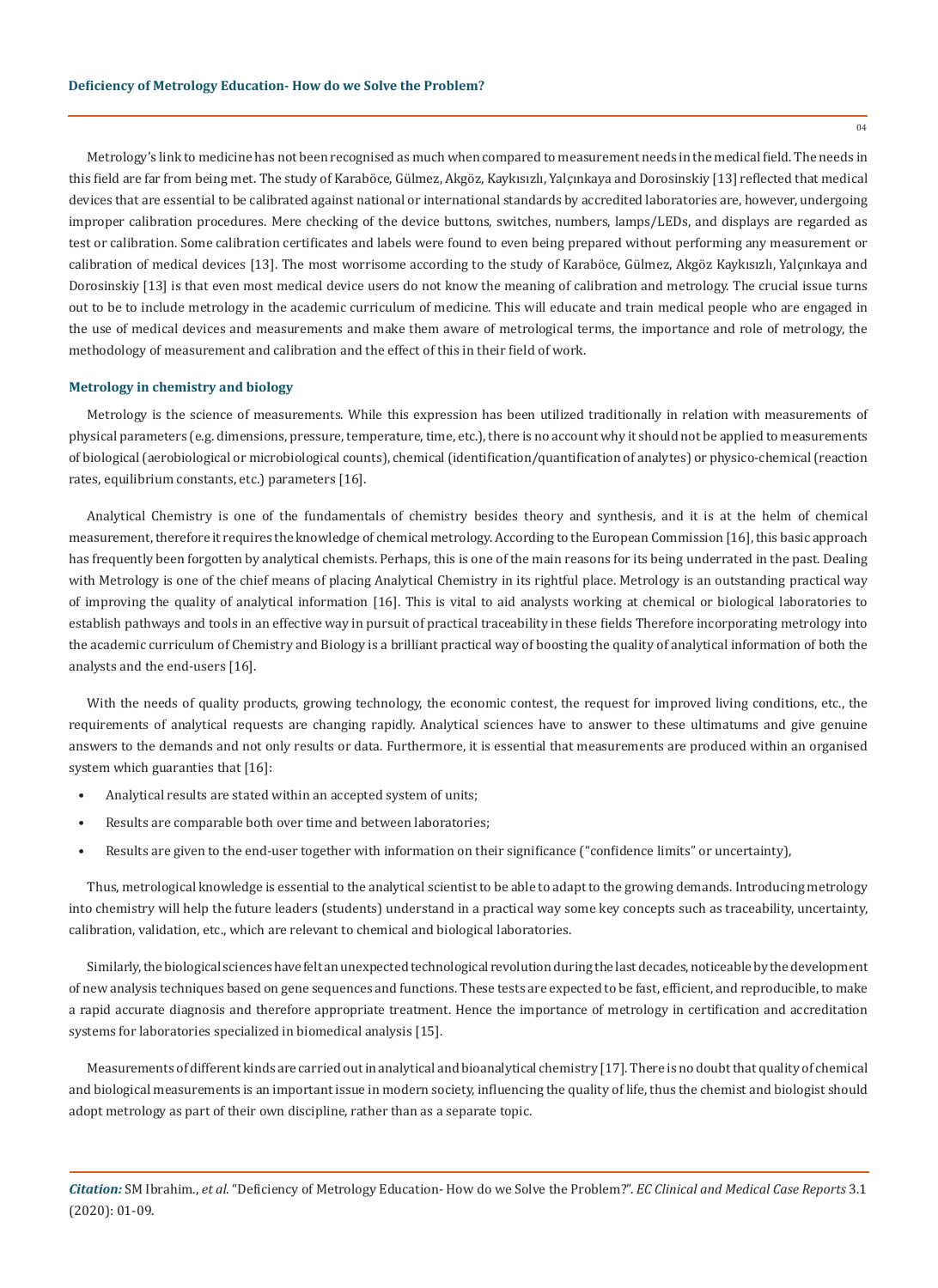Metrology's link to medicine has not been recognised as much when compared to measurement needs in the medical field. The needs in this field are far from being met. The study of Karaböce, Gülmez, Akgöz, Kaykısızlı, Yalçınkaya and Dorosinskiy [13] reflected that medical devices that are essential to be calibrated against national or international standards by accredited laboratories are, however, undergoing improper calibration procedures. Mere checking of the device buttons, switches, numbers, lamps/LEDs, and displays are regarded as test or calibration. Some calibration certificates and labels were found to even being prepared without performing any measurement or calibration of medical devices [13]. The most worrisome according to the study of Karaböce, Gülmez, Akgöz Kaykısızlı, Yalçınkaya and Dorosinskiy [13] is that even most medical device users do not know the meaning of calibration and metrology. The crucial issue turns out to be to include metrology in the academic curriculum of medicine. This will educate and train medical people who are engaged in the use of medical devices and measurements and make them aware of metrological terms, the importance and role of metrology, the methodology of measurement and calibration and the effect of this in their field of work.

#### **Metrology in chemistry and biology**

Metrology is the science of measurements. While this expression has been utilized traditionally in relation with measurements of physical parameters (e.g. dimensions, pressure, temperature, time, etc.), there is no account why it should not be applied to measurements of biological (aerobiological or microbiological counts), chemical (identification/quantification of analytes) or physico-chemical (reaction rates, equilibrium constants, etc.) parameters [16].

Analytical Chemistry is one of the fundamentals of chemistry besides theory and synthesis, and it is at the helm of chemical measurement, therefore it requires the knowledge of chemical metrology. According to the European Commission [16], this basic approach has frequently been forgotten by analytical chemists. Perhaps, this is one of the main reasons for its being underrated in the past. Dealing with Metrology is one of the chief means of placing Analytical Chemistry in its rightful place. Metrology is an outstanding practical way of improving the quality of analytical information [16]. This is vital to aid analysts working at chemical or biological laboratories to establish pathways and tools in an effective way in pursuit of practical traceability in these fields Therefore incorporating metrology into the academic curriculum of Chemistry and Biology is a brilliant practical way of boosting the quality of analytical information of both the analysts and the end-users [16].

With the needs of quality products, growing technology, the economic contest, the request for improved living conditions, etc., the requirements of analytical requests are changing rapidly. Analytical sciences have to answer to these ultimatums and give genuine answers to the demands and not only results or data. Furthermore, it is essential that measurements are produced within an organised system which guaranties that [16]:

- Analytical results are stated within an accepted system of units;
- Results are comparable both over time and between laboratories;
- Results are given to the end-user together with information on their significance ("confidence limits" or uncertainty),

Thus, metrological knowledge is essential to the analytical scientist to be able to adapt to the growing demands. Introducing metrology into chemistry will help the future leaders (students) understand in a practical way some key concepts such as traceability, uncertainty, calibration, validation, etc., which are relevant to chemical and biological laboratories.

Similarly, the biological sciences have felt an unexpected technological revolution during the last decades, noticeable by the development of new analysis techniques based on gene sequences and functions. These tests are expected to be fast, efficient, and reproducible, to make a rapid accurate diagnosis and therefore appropriate treatment. Hence the importance of metrology in certification and accreditation systems for laboratories specialized in biomedical analysis [15].

Measurements of different kinds are carried out in analytical and bioanalytical chemistry [17]. There is no doubt that quality of chemical and biological measurements is an important issue in modern society, influencing the quality of life, thus the chemist and biologist should adopt metrology as part of their own discipline, rather than as a separate topic.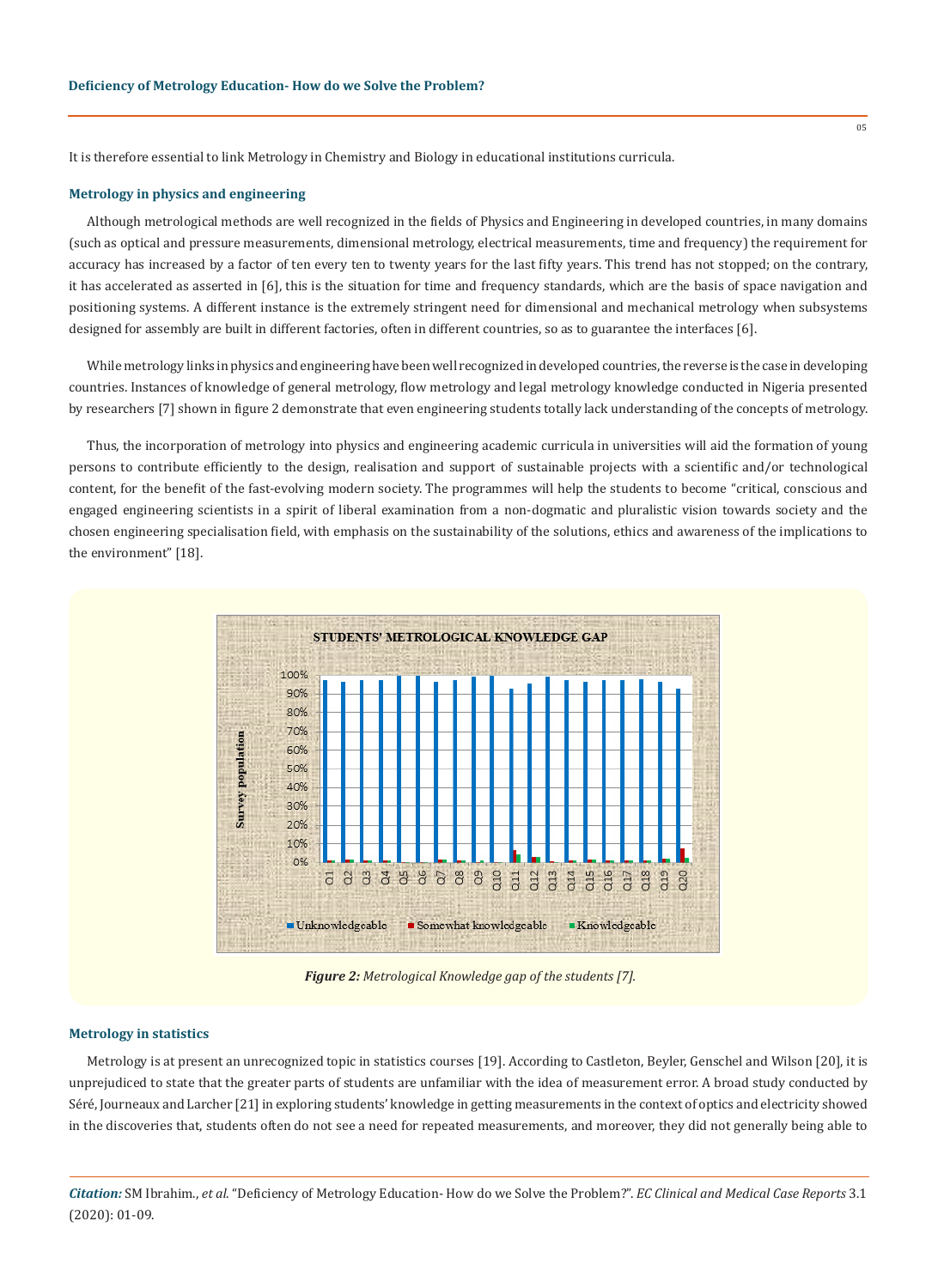It is therefore essential to link Metrology in Chemistry and Biology in educational institutions curricula.

## **Metrology in physics and engineering**

Although metrological methods are well recognized in the fields of Physics and Engineering in developed countries, in many domains (such as optical and pressure measurements, dimensional metrology, electrical measurements, time and frequency) the requirement for accuracy has increased by a factor of ten every ten to twenty years for the last fifty years. This trend has not stopped; on the contrary, it has accelerated as asserted in [6], this is the situation for time and frequency standards, which are the basis of space navigation and positioning systems. A different instance is the extremely stringent need for dimensional and mechanical metrology when subsystems designed for assembly are built in different factories, often in different countries, so as to guarantee the interfaces [6].

While metrology links in physics and engineering have been well recognized in developed countries, the reverse is the case in developing countries. Instances of knowledge of general metrology, flow metrology and legal metrology knowledge conducted in Nigeria presented by researchers [7] shown in figure 2 demonstrate that even engineering students totally lack understanding of the concepts of metrology.

Thus, the incorporation of metrology into physics and engineering academic curricula in universities will aid the formation of young persons to contribute efficiently to the design, realisation and support of sustainable projects with a scientific and/or technological content, for the benefit of the fast-evolving modern society. The programmes will help the students to become "critical, conscious and engaged engineering scientists in a spirit of liberal examination from a non-dogmatic and pluralistic vision towards society and the chosen engineering specialisation field, with emphasis on the sustainability of the solutions, ethics and awareness of the implications to the environment" [18].



 *Figure 2: Metrological Knowledge gap of the students [7].*

#### **Metrology in statistics**

Metrology is at present an unrecognized topic in statistics courses [19]. According to Castleton, Beyler, Genschel and Wilson [20], it is unprejudiced to state that the greater parts of students are unfamiliar with the idea of measurement error. A broad study conducted by Séré, Journeaux and Larcher [21] in exploring students' knowledge in getting measurements in the context of optics and electricity showed in the discoveries that, students often do not see a need for repeated measurements, and moreover, they did not generally being able to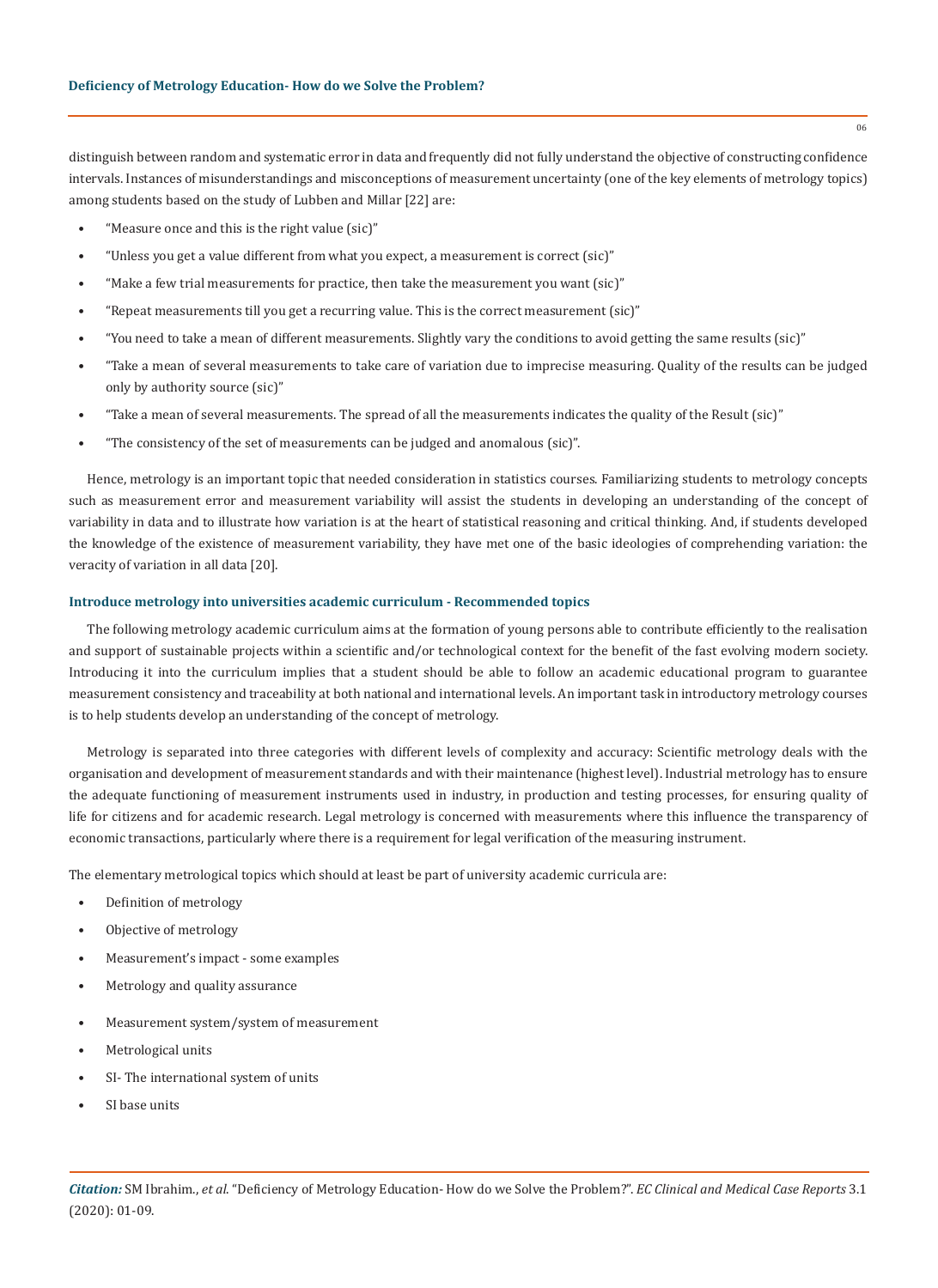distinguish between random and systematic error in data and frequently did not fully understand the objective of constructing confidence intervals. Instances of misunderstandings and misconceptions of measurement uncertainty (one of the key elements of metrology topics) among students based on the study of Lubben and Millar [22] are:

- "Measure once and this is the right value (sic)"
- "Unless you get a value different from what you expect, a measurement is correct (sic)"
- "Make a few trial measurements for practice, then take the measurement you want (sic)"
- "Repeat measurements till you get a recurring value. This is the correct measurement (sic)"
- "You need to take a mean of different measurements. Slightly vary the conditions to avoid getting the same results (sic)"
- "Take a mean of several measurements to take care of variation due to imprecise measuring. Quality of the results can be judged only by authority source (sic)"
- "Take a mean of several measurements. The spread of all the measurements indicates the quality of the Result (sic)"
- "The consistency of the set of measurements can be judged and anomalous (sic)".

Hence, metrology is an important topic that needed consideration in statistics courses. Familiarizing students to metrology concepts such as measurement error and measurement variability will assist the students in developing an understanding of the concept of variability in data and to illustrate how variation is at the heart of statistical reasoning and critical thinking. And, if students developed the knowledge of the existence of measurement variability, they have met one of the basic ideologies of comprehending variation: the veracity of variation in all data [20].

## **Introduce metrology into universities academic curriculum - Recommended topics**

The following metrology academic curriculum aims at the formation of young persons able to contribute efficiently to the realisation and support of sustainable projects within a scientific and/or technological context for the benefit of the fast evolving modern society. Introducing it into the curriculum implies that a student should be able to follow an academic educational program to guarantee measurement consistency and traceability at both national and international levels. An important task in introductory metrology courses is to help students develop an understanding of the concept of metrology.

Metrology is separated into three categories with different levels of complexity and accuracy: Scientific metrology deals with the organisation and development of measurement standards and with their maintenance (highest level). Industrial metrology has to ensure the adequate functioning of measurement instruments used in industry, in production and testing processes, for ensuring quality of life for citizens and for academic research. Legal metrology is concerned with measurements where this influence the transparency of economic transactions, particularly where there is a requirement for legal verification of the measuring instrument.

The elementary metrological topics which should at least be part of university academic curricula are:

- Definition of metrology
- Objective of metrology
- Measurement's impact some examples
- Metrology and quality assurance
- Measurement system/system of measurement
- Metrological units
- SI- The international system of units
- SI base units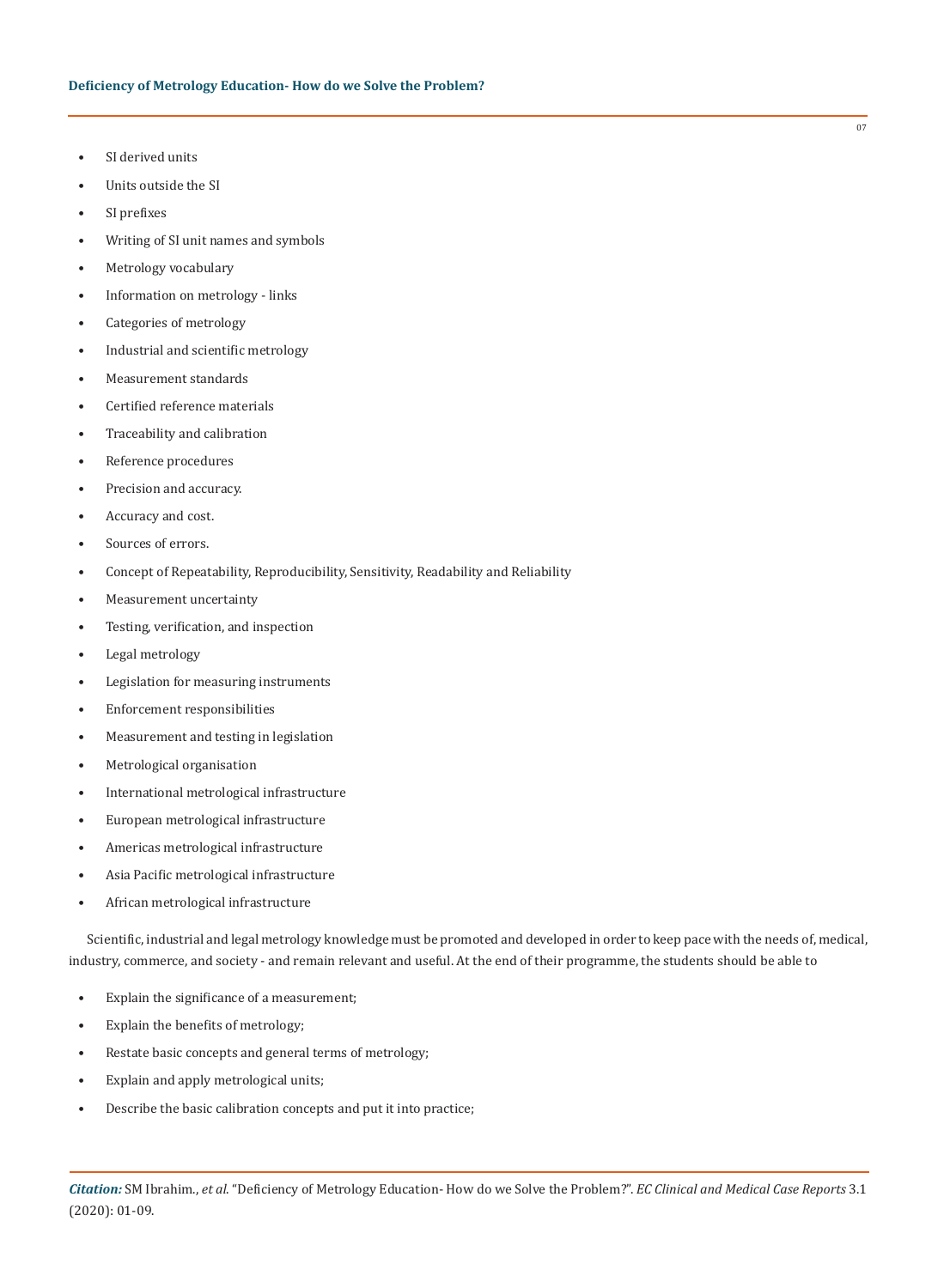- SI derived units
- Units outside the SI
- SI prefixes
- Writing of SI unit names and symbols
- Metrology vocabulary
- Information on metrology links
- Categories of metrology
- Industrial and scientific metrology
- Measurement standards
- Certified reference materials
- Traceability and calibration
- Reference procedures
- Precision and accuracy.
- Accuracy and cost.
- Sources of errors.
- Concept of Repeatability, Reproducibility, Sensitivity, Readability and Reliability
- Measurement uncertainty
- Testing, verification, and inspection
- Legal metrology
- Legislation for measuring instruments
- Enforcement responsibilities
- Measurement and testing in legislation
- Metrological organisation
- International metrological infrastructure
- European metrological infrastructure
- Americas metrological infrastructure
- Asia Pacific metrological infrastructure
- African metrological infrastructure

Scientific, industrial and legal metrology knowledge must be promoted and developed in order to keep pace with the needs of, medical, industry, commerce, and society - and remain relevant and useful. At the end of their programme, the students should be able to

- Explain the significance of a measurement;
- Explain the benefits of metrology;
- Restate basic concepts and general terms of metrology;
- Explain and apply metrological units;
- Describe the basic calibration concepts and put it into practice;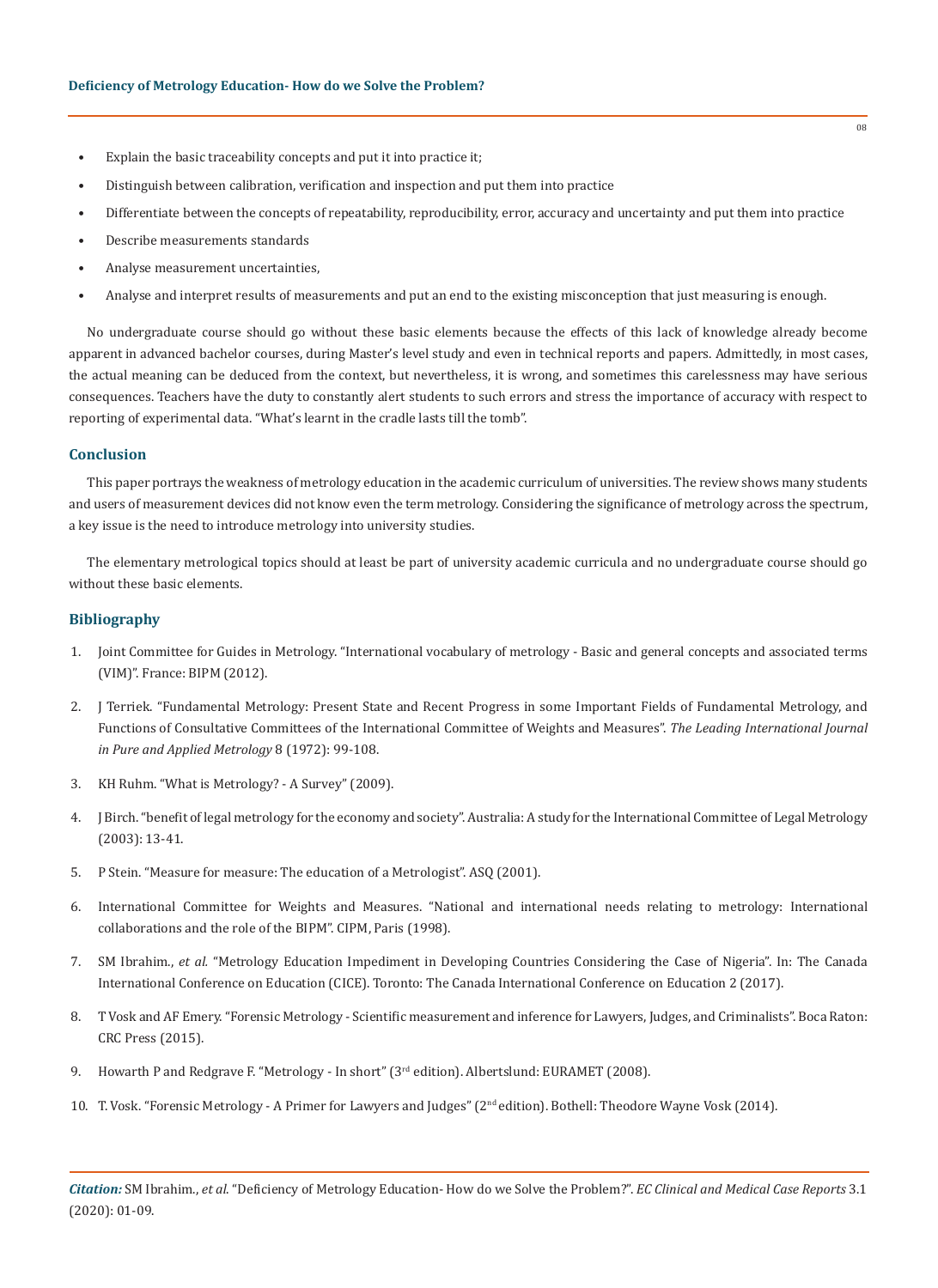- Explain the basic traceability concepts and put it into practice it;
- Distinguish between calibration, verification and inspection and put them into practice
- Differentiate between the concepts of repeatability, reproducibility, error, accuracy and uncertainty and put them into practice
- Describe measurements standards
- Analyse measurement uncertainties,
- Analyse and interpret results of measurements and put an end to the existing misconception that just measuring is enough.

No undergraduate course should go without these basic elements because the effects of this lack of knowledge already become apparent in advanced bachelor courses, during Master's level study and even in technical reports and papers. Admittedly, in most cases, the actual meaning can be deduced from the context, but nevertheless, it is wrong, and sometimes this carelessness may have serious consequences. Teachers have the duty to constantly alert students to such errors and stress the importance of accuracy with respect to reporting of experimental data. "What's learnt in the cradle lasts till the tomb".

## **Conclusion**

This paper portrays the weakness of metrology education in the academic curriculum of universities. The review shows many students and users of measurement devices did not know even the term metrology. Considering the significance of metrology across the spectrum, a key issue is the need to introduce metrology into university studies.

The elementary metrological topics should at least be part of university academic curricula and no undergraduate course should go without these basic elements.

# **Bibliography**

- 1. Joint Committee for Guides in Metrology. "International vocabulary of metrology Basic and general concepts and associated terms (VIM)". France: BIPM (2012).
- 2. [J Terriek. "Fundamental Metrology: Present State and Recent Progress in some Important Fields of Fundamental Metrology, and](https://iopscience.iop.org/article/10.1088/0026-1394/8/3/004)  [Functions of Consultative Committees of the International Committee of Weights and Measures".](https://iopscience.iop.org/article/10.1088/0026-1394/8/3/004) *The Leading International Journal [in Pure and Applied Metrology](https://iopscience.iop.org/article/10.1088/0026-1394/8/3/004)* 8 (1972): 99-108.
- 3. KH Ruhm. "What is Metrology? A Survey" (2009).
- 4. J Birch. "benefit of legal metrology for the economy and society". Australia: A study for the International Committee of Legal Metrology (2003): 13-41.
- 5. P Stein. "Measure for measure: The education of a Metrologist". ASQ (2001).
- 6. International Committee for Weights and Measures. "National and international needs relating to metrology: International collaborations and the role of the BIPM". CIPM, Paris (1998).
- 7. SM Ibrahim., *et al.* "Metrology Education Impediment in Developing Countries Considering the Case of Nigeria". In: The Canada International Conference on Education (CICE). Toronto: The Canada International Conference on Education 2 (2017).
- 8. T Vosk and AF Emery. "Forensic Metrology Scientific measurement and inference for Lawyers, Judges, and Criminalists". Boca Raton: CRC Press (2015).
- 9. Howarth P and Redgrave F. "Metrology In short" (3<sup>rd</sup> edition). Albertslund: EURAMET (2008).
- 10. T. Vosk. "Forensic Metrology A Primer for Lawyers and Judges" (2nd edition). Bothell: Theodore Wayne Vosk (2014).